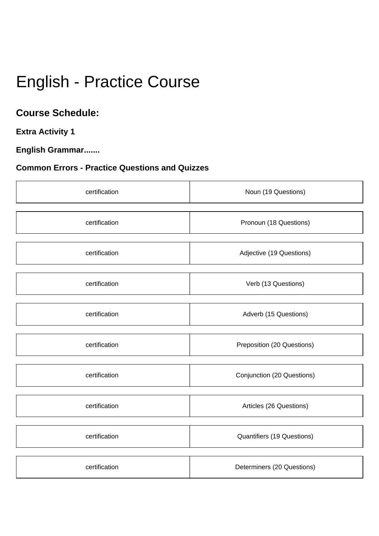# English - Practice Course

#### **Course Schedule:**

#### **Extra Activity 1**

#### **English Grammar.......**

## **Common Errors - Practice Questions and Quizzes**

| certification | Noun (19 Questions)        |  |
|---------------|----------------------------|--|
|               |                            |  |
| certification | Pronoun (18 Questions)     |  |
|               |                            |  |
| certification | Adjective (19 Questions)   |  |
|               |                            |  |
| certification | Verb (13 Questions)        |  |
|               |                            |  |
| certification | Adverb (15 Questions)      |  |
|               |                            |  |
| certification | Preposition (20 Questions) |  |
|               |                            |  |
| certification | Conjunction (20 Questions) |  |
|               |                            |  |
| certification | Articles (26 Questions)    |  |
|               |                            |  |
| certification | Quantifiers (19 Questions) |  |
|               |                            |  |
| certification | Determiners (20 Questions) |  |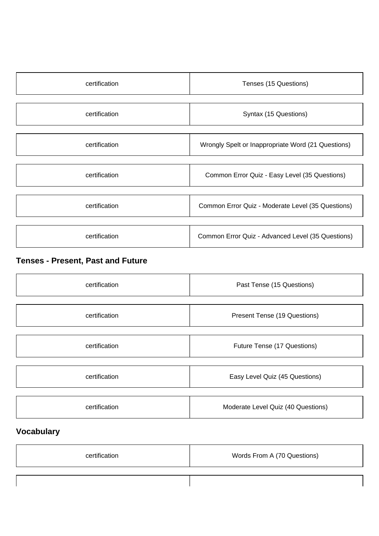| certification | Tenses (15 Questions)                              |
|---------------|----------------------------------------------------|
|               |                                                    |
| certification | Syntax (15 Questions)                              |
|               |                                                    |
| certification | Wrongly Spelt or Inappropriate Word (21 Questions) |
|               |                                                    |
| certification | Common Error Quiz - Easy Level (35 Questions)      |
|               |                                                    |
| certification | Common Error Quiz - Moderate Level (35 Questions)  |
|               |                                                    |
| certification | Common Error Quiz - Advanced Level (35 Questions)  |

#### **Tenses - Present, Past and Future**

| certification | Past Tense (15 Questions)          |
|---------------|------------------------------------|
|               |                                    |
| certification | Present Tense (19 Questions)       |
|               |                                    |
| certification | Future Tense (17 Questions)        |
|               |                                    |
| certification | Easy Level Quiz (45 Questions)     |
|               |                                    |
| certification | Moderate Level Quiz (40 Questions) |

## **Vocabulary**

| certification | Words From A (70 Questions) |
|---------------|-----------------------------|
|               |                             |
|               |                             |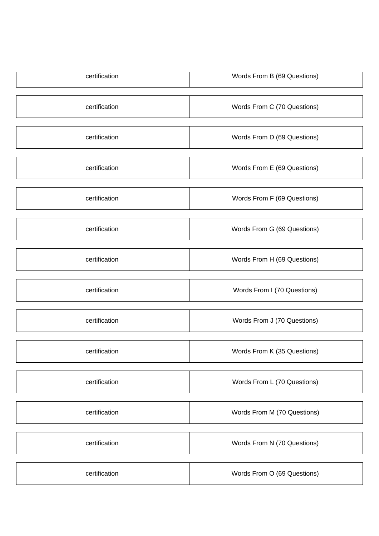| certification | Words From B (69 Questions) |
|---------------|-----------------------------|
|               |                             |
| certification | Words From C (70 Questions) |
| certification | Words From D (69 Questions) |
| certification | Words From E (69 Questions) |
| certification | Words From F (69 Questions) |
|               |                             |
| certification | Words From G (69 Questions) |
| certification | Words From H (69 Questions) |
|               |                             |
| certification | Words From I (70 Questions) |
|               |                             |
| certification | Words From J (70 Questions) |
|               |                             |
| certification | Words From K (35 Questions) |
|               |                             |
| certification | Words From L (70 Questions) |
|               |                             |
| certification | Words From M (70 Questions) |
|               |                             |
| certification | Words From N (70 Questions) |
|               |                             |
| certification | Words From O (69 Questions) |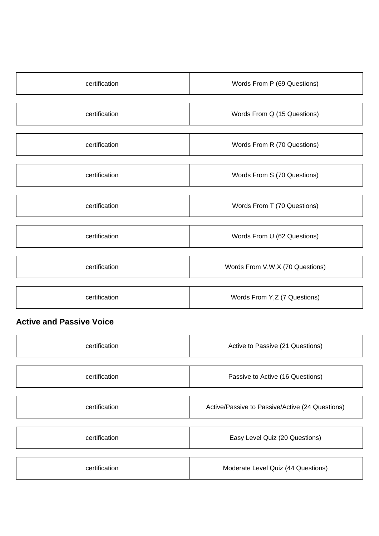| certification | Words From P (69 Questions)     |
|---------------|---------------------------------|
|               |                                 |
| certification | Words From Q (15 Questions)     |
|               |                                 |
| certification | Words From R (70 Questions)     |
|               |                                 |
| certification | Words From S (70 Questions)     |
|               |                                 |
| certification | Words From T (70 Questions)     |
|               |                                 |
| certification | Words From U (62 Questions)     |
|               |                                 |
| certification | Words From V,W,X (70 Questions) |
|               |                                 |
| certification | Words From Y,Z (7 Questions)    |
|               |                                 |

#### **Active and Passive Voice**

| certification | Active to Passive (21 Questions)                |
|---------------|-------------------------------------------------|
|               |                                                 |
| certification | Passive to Active (16 Questions)                |
|               |                                                 |
| certification | Active/Passive to Passive/Active (24 Questions) |
|               |                                                 |
| certification | Easy Level Quiz (20 Questions)                  |
|               |                                                 |
| certification | Moderate Level Quiz (44 Questions)              |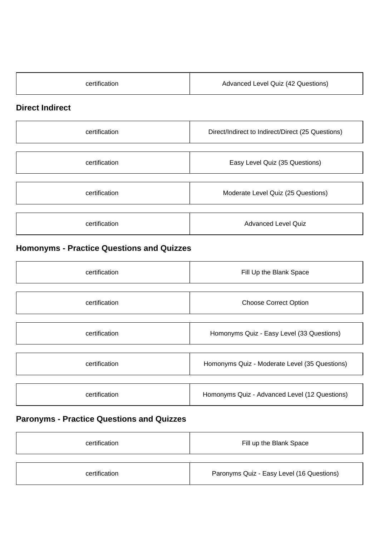| certification | Advanced Level Quiz (42 Questions) |
|---------------|------------------------------------|
|               |                                    |

#### **Direct Indirect**

| certification | Direct/Indirect to Indirect/Direct (25 Questions) |
|---------------|---------------------------------------------------|
|               |                                                   |
| certification | Easy Level Quiz (35 Questions)                    |
|               |                                                   |
| certification | Moderate Level Quiz (25 Questions)                |
|               |                                                   |
| certification | <b>Advanced Level Quiz</b>                        |

# **Homonyms - Practice Questions and Quizzes**

| certification | Fill Up the Blank Space                       |
|---------------|-----------------------------------------------|
|               |                                               |
| certification | <b>Choose Correct Option</b>                  |
|               |                                               |
| certification | Homonyms Quiz - Easy Level (33 Questions)     |
|               |                                               |
| certification | Homonyms Quiz - Moderate Level (35 Questions) |
|               |                                               |
| certification | Homonyms Quiz - Advanced Level (12 Questions) |

#### **Paronyms - Practice Questions and Quizzes**

| certification | Fill up the Blank Space                   |
|---------------|-------------------------------------------|
| certification | Paronyms Quiz - Easy Level (16 Questions) |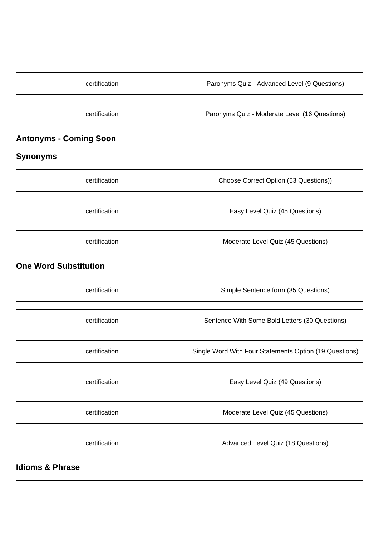| certification | Paronyms Quiz - Advanced Level (9 Questions)  |
|---------------|-----------------------------------------------|
| certification | Paronyms Quiz - Moderate Level (16 Questions) |

# **Antonyms - Coming Soon**

## **Synonyms**

| certification | Choose Correct Option (53 Questions)) |
|---------------|---------------------------------------|
|               |                                       |
| certification | Easy Level Quiz (45 Questions)        |
|               |                                       |
| certification | Moderate Level Quiz (45 Questions)    |

#### **One Word Substitution**

| certification | Simple Sentence form (35 Questions)                    |  |
|---------------|--------------------------------------------------------|--|
|               |                                                        |  |
| certification | Sentence With Some Bold Letters (30 Questions)         |  |
|               |                                                        |  |
| certification | Single Word With Four Statements Option (19 Questions) |  |
|               |                                                        |  |
| certification | Easy Level Quiz (49 Questions)                         |  |
|               |                                                        |  |
| certification | Moderate Level Quiz (45 Questions)                     |  |
|               |                                                        |  |
| certification | Advanced Level Quiz (18 Questions)                     |  |

 $\top$ 

٦

#### **Idioms & Phrase**

 $\Gamma$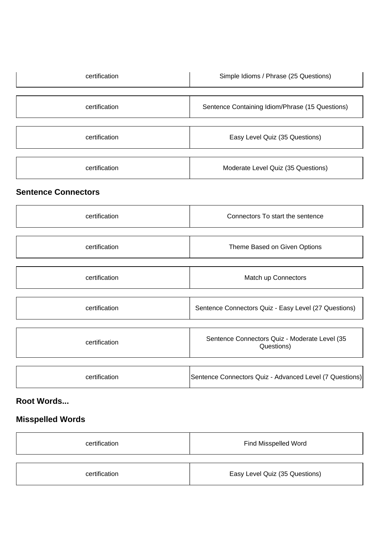| certification | Simple Idioms / Phrase (25 Questions)           |
|---------------|-------------------------------------------------|
|               |                                                 |
| certification | Sentence Containing Idiom/Phrase (15 Questions) |
|               |                                                 |
| certification | Easy Level Quiz (35 Questions)                  |
|               |                                                 |
| certification | Moderate Level Quiz (35 Questions)              |

#### **Sentence Connectors**

| certification | Connectors To start the sentence                            |  |
|---------------|-------------------------------------------------------------|--|
|               |                                                             |  |
| certification | Theme Based on Given Options                                |  |
|               |                                                             |  |
| certification | Match up Connectors                                         |  |
|               |                                                             |  |
| certification | Sentence Connectors Quiz - Easy Level (27 Questions)        |  |
|               |                                                             |  |
| certification | Sentence Connectors Quiz - Moderate Level (35<br>Questions) |  |
|               |                                                             |  |
| certification | Sentence Connectors Quiz - Advanced Level (7 Questions)     |  |

#### **Root Words...**

# **Misspelled Words**

|               | certification | Find Misspelled Word           |
|---------------|---------------|--------------------------------|
| certification |               | Easy Level Quiz (35 Questions) |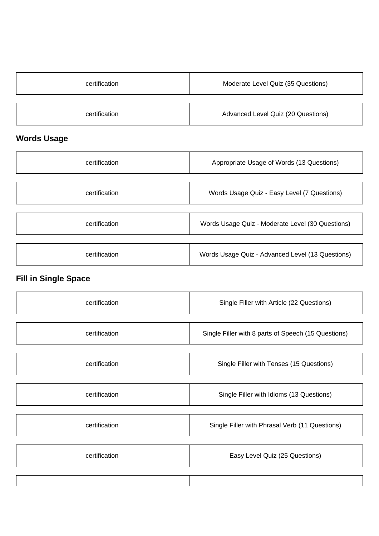| certification | Moderate Level Quiz (35 Questions) |
|---------------|------------------------------------|
|               |                                    |
| certification | Advanced Level Quiz (20 Questions) |

# **Words Usage**

| certification | Appropriate Usage of Words (13 Questions)        |
|---------------|--------------------------------------------------|
|               |                                                  |
| certification | Words Usage Quiz - Easy Level (7 Questions)      |
|               |                                                  |
| certification | Words Usage Quiz - Moderate Level (30 Questions) |
|               |                                                  |
| certification | Words Usage Quiz - Advanced Level (13 Questions) |

# **Fill in Single Space**

| certification | Single Filler with Article (22 Questions)           |
|---------------|-----------------------------------------------------|
|               |                                                     |
| certification | Single Filler with 8 parts of Speech (15 Questions) |
|               |                                                     |
| certification | Single Filler with Tenses (15 Questions)            |
|               |                                                     |
| certification | Single Filler with Idioms (13 Questions)            |
|               |                                                     |
| certification | Single Filler with Phrasal Verb (11 Questions)      |
|               |                                                     |
| certification | Easy Level Quiz (25 Questions)                      |
|               |                                                     |
|               |                                                     |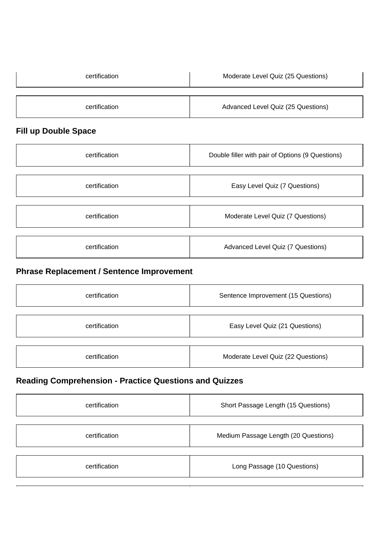| certification | Moderate Level Quiz (25 Questions) |
|---------------|------------------------------------|
|               |                                    |
| certification | Advanced Level Quiz (25 Questions) |

## **Fill up Double Space**

| certification | Double filler with pair of Options (9 Questions) |
|---------------|--------------------------------------------------|
|               |                                                  |
| certification | Easy Level Quiz (7 Questions)                    |
|               |                                                  |
| certification | Moderate Level Quiz (7 Questions)                |
|               |                                                  |
| certification | Advanced Level Quiz (7 Questions)                |

## **Phrase Replacement / Sentence Improvement**

| certification | Sentence Improvement (15 Questions) |
|---------------|-------------------------------------|
|               |                                     |
| certification | Easy Level Quiz (21 Questions)      |
|               |                                     |
| certification | Moderate Level Quiz (22 Questions)  |

## **Reading Comprehension - Practice Questions and Quizzes**

| certification | Short Passage Length (15 Questions)  |
|---------------|--------------------------------------|
|               |                                      |
| certification | Medium Passage Length (20 Questions) |
| certification | Long Passage (10 Questions)          |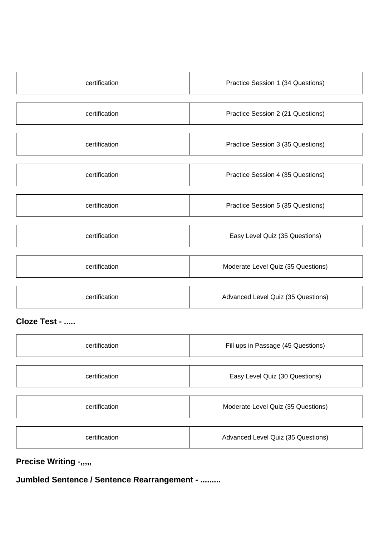| certification | Practice Session 1 (34 Questions)  |  |
|---------------|------------------------------------|--|
|               |                                    |  |
| certification | Practice Session 2 (21 Questions)  |  |
|               |                                    |  |
| certification | Practice Session 3 (35 Questions)  |  |
|               |                                    |  |
| certification | Practice Session 4 (35 Questions)  |  |
|               |                                    |  |
| certification | Practice Session 5 (35 Questions)  |  |
|               |                                    |  |
| certification | Easy Level Quiz (35 Questions)     |  |
|               |                                    |  |
| certification | Moderate Level Quiz (35 Questions) |  |
|               |                                    |  |
| certification | Advanced Level Quiz (35 Questions) |  |

#### **Cloze Test - .....**

| certification | Fill ups in Passage (45 Questions) |  |
|---------------|------------------------------------|--|
|               |                                    |  |
| certification | Easy Level Quiz (30 Questions)     |  |
|               |                                    |  |
| certification | Moderate Level Quiz (35 Questions) |  |
|               |                                    |  |
| certification | Advanced Level Quiz (35 Questions) |  |

# **Precise Writing -,,,,,**

**Jumbled Sentence / Sentence Rearrangement - .........**